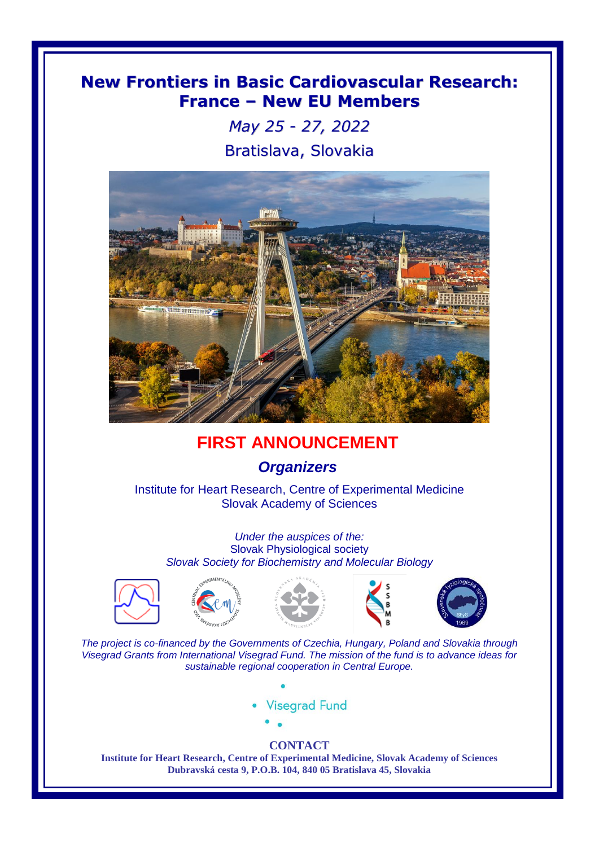## **New Frontiers in Basic Cardiovascular Research: France – New EU Members**

*May 25 - 27, 2022* Bratislava, Slovakia



## **FIRST ANNOUNCEMENT**

## *Organizers*

Institute for Heart Research, Centre of Experimental Medicine Slovak Academy of Sciences

*Under the auspices of the:* Slovak Physiological society *Slovak Society for Biochemistry and Molecular Biology*











*The project is co-financed by the Governments of Czechia, Hungary, Poland and Slovakia through Visegrad Grants from International Visegrad Fund. The mission of the fund is to advance ideas for sustainable regional cooperation in Central Europe.*

- **Visegrad Fund** 
	-

## **CONTACT**

**Institute for Heart Research, Centre of Experimental Medicine, Slovak Academy of Sciences Dubravská cesta 9, P.O.B. 104, 840 05 Bratislava 45, Slovakia**